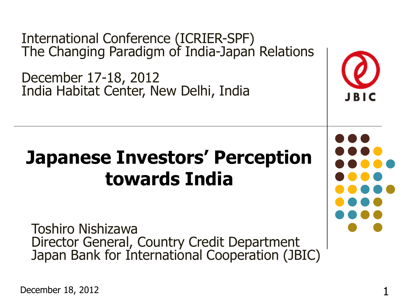International Conference (ICRIER-SPF) The Changing Paradigm of India-Japan Relations

December 17-18, 2012 India Habitat Center, New Delhi, India

## **Japanese Investors' Perception towards India**

Toshiro Nishizawa Director General, Country Credit Department Japan Bank for International Cooperation (JBIC)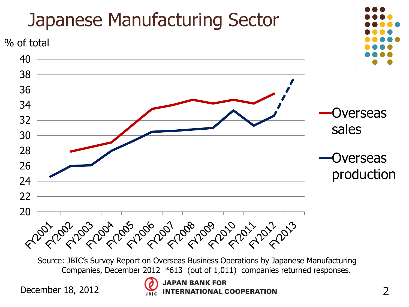

Source: JBIC's Survey Report on Overseas Business Operations by Japanese Manufacturing Companies, December 2012 \*613 (out of 1,011) companies returned responses.

December 18, 2012 **2 INTERNATIONAL COOPERATION** 2

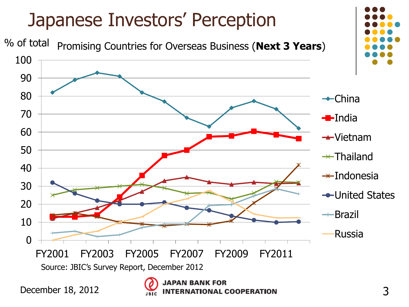

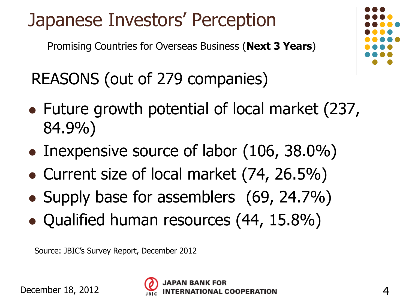#### Japanese Investors' Perception

Promising Countries for Overseas Business (**Next 3 Years**)

REASONS (out of 279 companies)

- Future growth potential of local market (237, 84.9%)
- Inexpensive source of labor (106, 38.0%)
- Current size of local market (74, 26.5%)
- Supply base for assemblers (69, 24.7%)
- Qualified human resources (44, 15.8%)



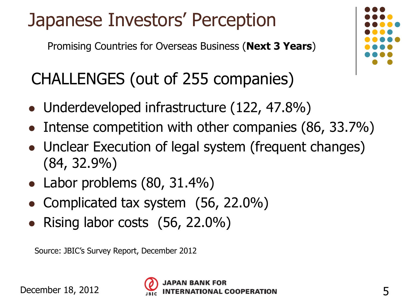#### Japanese Investors' Perception

Promising Countries for Overseas Business (**Next 3 Years**)

#### CHALLENGES (out of 255 companies)

- Underdeveloped infrastructure (122, 47.8%)
- Intense competition with other companies (86, 33.7%)
- Unclear Execution of legal system (frequent changes) (84, 32.9%)
- Labor problems (80, 31.4%)
- Complicated tax system (56, 22.0%)
- Rising labor costs  $(56, 22.0\%)$



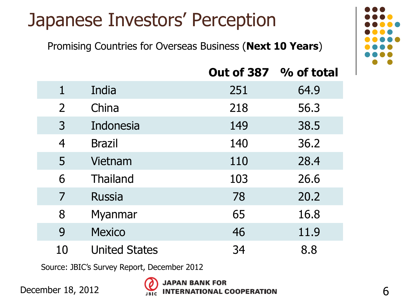#### Japanese Investors' Perception

Promising Countries for Overseas Business (**Next 10 Years**)



|                |                      | <b>Out of 387</b> | % of total |
|----------------|----------------------|-------------------|------------|
| $\mathbf 1$    | India                | 251               | 64.9       |
| $\overline{2}$ | China                | 218               | 56.3       |
| $\overline{3}$ | Indonesia            | 149               | 38.5       |
| $\overline{4}$ | <b>Brazil</b>        | 140               | 36.2       |
| 5              | Vietnam              | 110               | 28.4       |
| 6              | <b>Thailand</b>      | 103               | 26.6       |
| 7              | <b>Russia</b>        | 78                | 20.2       |
| 8              | Myanmar              | 65                | 16.8       |
| 9              | <b>Mexico</b>        | 46                | 11.9       |
| 10             | <b>United States</b> | 34                | 8.8        |

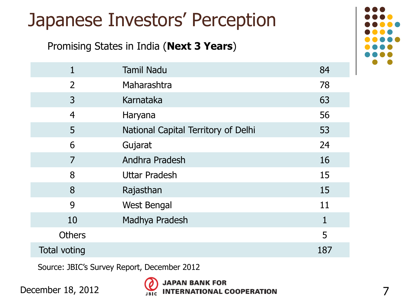|                                          | Japanese Investors' Perception      |     |  |
|------------------------------------------|-------------------------------------|-----|--|
| Promising States in India (Next 3 Years) |                                     |     |  |
| $\mathbf{1}$                             | <b>Tamil Nadu</b>                   | 84  |  |
| $\overline{2}$                           | Maharashtra                         | 78  |  |
| 3                                        | Karnataka                           | 63  |  |
| $\overline{4}$                           | Haryana                             | 56  |  |
| 5                                        | National Capital Territory of Delhi | 53  |  |
| 6                                        | Gujarat                             | 24  |  |
| 7                                        | Andhra Pradesh                      | 16  |  |
| 8                                        | <b>Uttar Pradesh</b>                | 15  |  |
| 8                                        | Rajasthan                           | 15  |  |
| 9                                        | West Bengal                         | 11  |  |
| 10                                       | Madhya Pradesh                      | 1   |  |
| <b>Others</b>                            |                                     | 5   |  |
| Total voting                             |                                     | 187 |  |

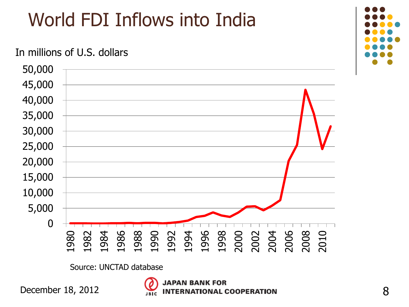## World FDI Inflows into India

#### In millions of U.S. dollars



Source: UNCTAD database

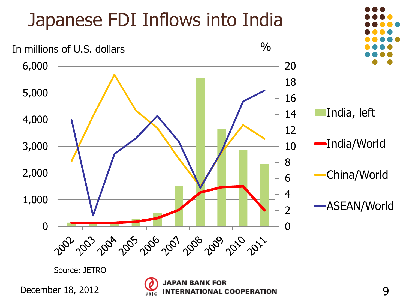## Japanese FDI Inflows into India





India, left

India/World



ASEAN/World